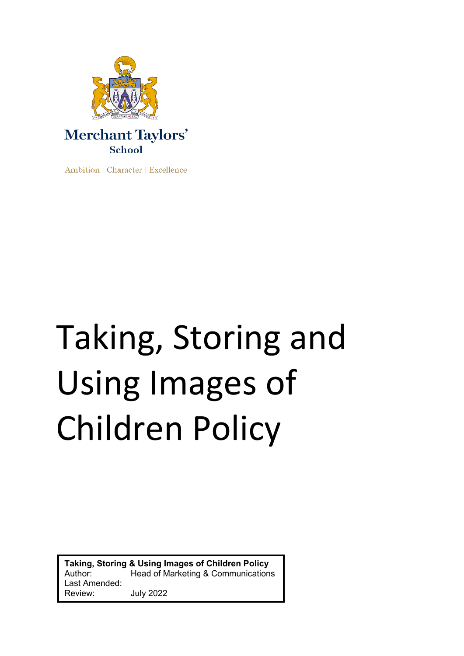

Ambition | Character | Excellence

# Taking, Storing and Using Images of Children Policy

**Taking, Storing & Using Images of Children Policy** Author: Head of Marketing & Communications Last Amended: Review: July 2022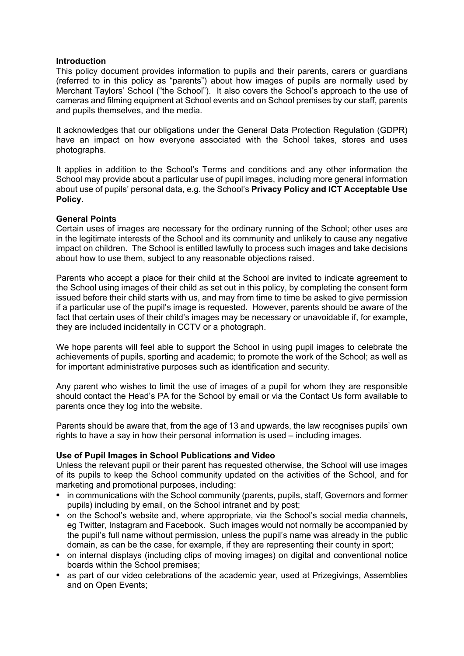#### **Introduction**

This policy document provides information to pupils and their parents, carers or guardians (referred to in this policy as "parents") about how images of pupils are normally used by Merchant Taylors' School ("the School"). It also covers the School's approach to the use of cameras and filming equipment at School events and on School premises by our staff, parents and pupils themselves, and the media.

It acknowledges that our obligations under the General Data Protection Regulation (GDPR) have an impact on how everyone associated with the School takes, stores and uses photographs.

It applies in addition to the School's Terms and conditions and any other information the School may provide about a particular use of pupil images, including more general information about use of pupils' personal data, e.g. the School's **Privacy Policy and ICT Acceptable Use Policy.**

## **General Points**

Certain uses of images are necessary for the ordinary running of the School; other uses are in the legitimate interests of the School and its community and unlikely to cause any negative impact on children. The School is entitled lawfully to process such images and take decisions about how to use them, subject to any reasonable objections raised.

Parents who accept a place for their child at the School are invited to indicate agreement to the School using images of their child as set out in this policy, by completing the consent form issued before their child starts with us, and may from time to time be asked to give permission if a particular use of the pupil's image is requested. However, parents should be aware of the fact that certain uses of their child's images may be necessary or unavoidable if, for example, they are included incidentally in CCTV or a photograph.

We hope parents will feel able to support the School in using pupil images to celebrate the achievements of pupils, sporting and academic; to promote the work of the School; as well as for important administrative purposes such as identification and security.

Any parent who wishes to limit the use of images of a pupil for whom they are responsible should contact the Head's PA for the School by email or via the Contact Us form available to parents once they log into the website.

Parents should be aware that, from the age of 13 and upwards, the law recognises pupils' own rights to have a say in how their personal information is used – including images.

# **Use of Pupil Images in School Publications and Video**

Unless the relevant pupil or their parent has requested otherwise, the School will use images of its pupils to keep the School community updated on the activities of the School, and for marketing and promotional purposes, including:

- in communications with the School community (parents, pupils, staff, Governors and former pupils) including by email, on the School intranet and by post;
- on the School's website and, where appropriate, via the School's social media channels, eg Twitter, Instagram and Facebook. Such images would not normally be accompanied by the pupil's full name without permission, unless the pupil's name was already in the public domain, as can be the case, for example, if they are representing their county in sport;
- on internal displays (including clips of moving images) on digital and conventional notice boards within the School premises;
- as part of our video celebrations of the academic year, used at Prizegivings, Assemblies and on Open Events;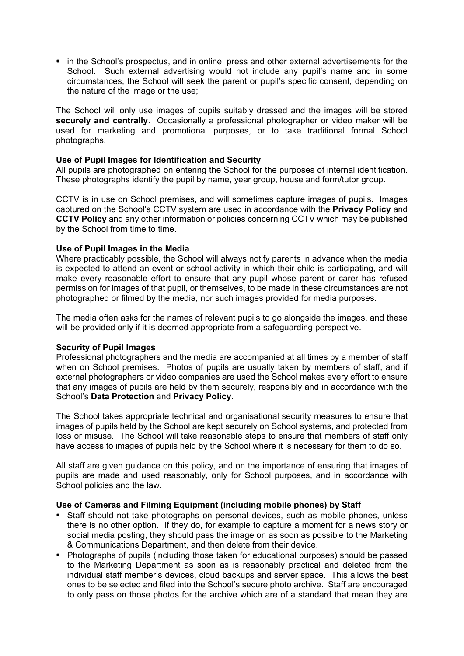• in the School's prospectus, and in online, press and other external advertisements for the School. Such external advertising would not include any pupil's name and in some circumstances, the School will seek the parent or pupil's specific consent, depending on the nature of the image or the use;

The School will only use images of pupils suitably dressed and the images will be stored **securely and centrally**. Occasionally a professional photographer or video maker will be used for marketing and promotional purposes, or to take traditional formal School photographs.

## **Use of Pupil Images for Identification and Security**

All pupils are photographed on entering the School for the purposes of internal identification. These photographs identify the pupil by name, year group, house and form/tutor group.

CCTV is in use on School premises, and will sometimes capture images of pupils. Images captured on the School's CCTV system are used in accordance with the **Privacy Policy** and **CCTV Policy** and any other information or policies concerning CCTV which may be published by the School from time to time.

## **Use of Pupil Images in the Media**

Where practicably possible, the School will always notify parents in advance when the media is expected to attend an event or school activity in which their child is participating, and will make every reasonable effort to ensure that any pupil whose parent or carer has refused permission for images of that pupil, or themselves, to be made in these circumstances are not photographed or filmed by the media, nor such images provided for media purposes.

The media often asks for the names of relevant pupils to go alongside the images, and these will be provided only if it is deemed appropriate from a safeguarding perspective.

#### **Security of Pupil Images**

Professional photographers and the media are accompanied at all times by a member of staff when on School premises. Photos of pupils are usually taken by members of staff, and if external photographers or video companies are used the School makes every effort to ensure that any images of pupils are held by them securely, responsibly and in accordance with the School's **Data Protection** and **Privacy Policy.**

The School takes appropriate technical and organisational security measures to ensure that images of pupils held by the School are kept securely on School systems, and protected from loss or misuse. The School will take reasonable steps to ensure that members of staff only have access to images of pupils held by the School where it is necessary for them to do so.

All staff are given guidance on this policy, and on the importance of ensuring that images of pupils are made and used reasonably, only for School purposes, and in accordance with School policies and the law.

#### **Use of Cameras and Filming Equipment (including mobile phones) by Staff**

- Staff should not take photographs on personal devices, such as mobile phones, unless there is no other option. If they do, for example to capture a moment for a news story or social media posting, they should pass the image on as soon as possible to the Marketing & Communications Department, and then delete from their device.
- Photographs of pupils (including those taken for educational purposes) should be passed to the Marketing Department as soon as is reasonably practical and deleted from the individual staff member's devices, cloud backups and server space. This allows the best ones to be selected and filed into the School's secure photo archive. Staff are encouraged to only pass on those photos for the archive which are of a standard that mean they are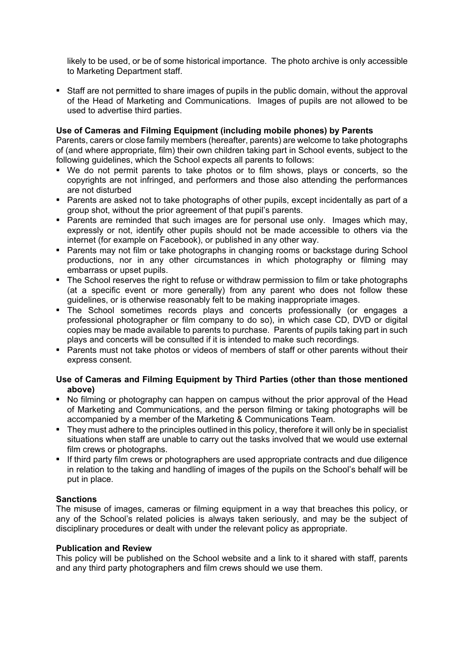likely to be used, or be of some historical importance. The photo archive is only accessible to Marketing Department staff.

• Staff are not permitted to share images of pupils in the public domain, without the approval of the Head of Marketing and Communications. Images of pupils are not allowed to be used to advertise third parties.

# **Use of Cameras and Filming Equipment (including mobile phones) by Parents**

Parents, carers or close family members (hereafter, parents) are welcome to take photographs of (and where appropriate, film) their own children taking part in School events, subject to the following guidelines, which the School expects all parents to follows:

- We do not permit parents to take photos or to film shows, plays or concerts, so the copyrights are not infringed, and performers and those also attending the performances are not disturbed
- Parents are asked not to take photographs of other pupils, except incidentally as part of a group shot, without the prior agreement of that pupil's parents.
- Parents are reminded that such images are for personal use only. Images which may, expressly or not, identify other pupils should not be made accessible to others via the internet (for example on Facebook), or published in any other way.
- Parents may not film or take photographs in changing rooms or backstage during School productions, nor in any other circumstances in which photography or filming may embarrass or upset pupils.
- The School reserves the right to refuse or withdraw permission to film or take photographs (at a specific event or more generally) from any parent who does not follow these guidelines, or is otherwise reasonably felt to be making inappropriate images.
- The School sometimes records plays and concerts professionally (or engages a professional photographer or film company to do so), in which case CD, DVD or digital copies may be made available to parents to purchase. Parents of pupils taking part in such plays and concerts will be consulted if it is intended to make such recordings.
- Parents must not take photos or videos of members of staff or other parents without their express consent.

# **Use of Cameras and Filming Equipment by Third Parties (other than those mentioned above)**

- No filming or photography can happen on campus without the prior approval of the Head of Marketing and Communications, and the person filming or taking photographs will be accompanied by a member of the Marketing & Communications Team.
- They must adhere to the principles outlined in this policy, therefore it will only be in specialist situations when staff are unable to carry out the tasks involved that we would use external film crews or photographs.
- If third party film crews or photographers are used appropriate contracts and due diligence in relation to the taking and handling of images of the pupils on the School's behalf will be put in place.

# **Sanctions**

The misuse of images, cameras or filming equipment in a way that breaches this policy, or any of the School's related policies is always taken seriously, and may be the subject of disciplinary procedures or dealt with under the relevant policy as appropriate.

# **Publication and Review**

This policy will be published on the School website and a link to it shared with staff, parents and any third party photographers and film crews should we use them.